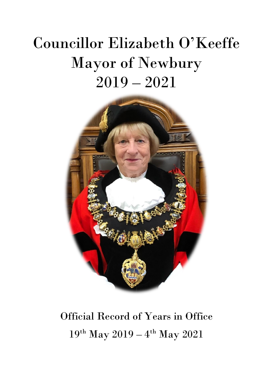# Councillor Elizabeth O'Keeffe Mayor of Newbury 2019 – 2021



### Official Record of Years in Office 19<sup>th</sup> May 2019 – 4<sup>th</sup> May 2021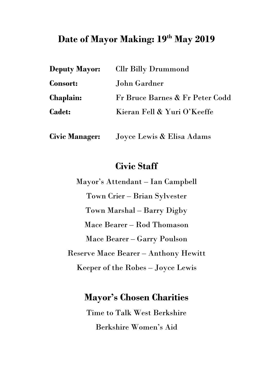### **Date of Mayor Making: 19th May 2019**

| <b>Deputy Mayor:</b> | <b>Cllr Billy Drummond</b>      |
|----------------------|---------------------------------|
| <b>Consort:</b>      | John Gardner                    |
| <b>Chaplain:</b>     | Fr Bruce Barnes & Fr Peter Codd |
| <b>Cadet:</b>        | Kieran Fell & Yuri O'Keeffe     |
|                      |                                 |

**Civic Manager:** Joyce Lewis & Elisa Adams

### **Civic Staff**

Mayor's Attendant – Ian Campbell Town Crier – Brian Sylvester Town Marshal – Barry Digby Mace Bearer – Rod Thomason Mace Bearer – Garry Poulson Reserve Mace Bearer – Anthony Hewitt Keeper of the Robes – Joyce Lewis

### **Mayor's Chosen Charities**

Time to Talk West Berkshire Berkshire Women's Aid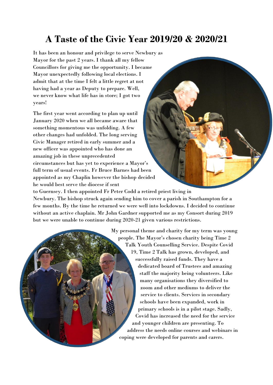### **A Taste of the Civic Year 2019/20 & 2020/21**

It has been an honour and privilege to serve Newbury as Mayor for the past 2 years. I thank all my fellow Councillors for giving me the opportunity. I became Mayor unexpectedly following local elections. I admit that at the time I felt a little regret at not having had a year as Deputy to prepare. Well, we never know what life has in store; I got two years!

The first year went according to plan up until January 2020 when we all became aware that something momentous was unfolding. A few other changes had unfolded. The long serving Civic Manager retired in early summer and a new officer was appointed who has done an amazing job in these unprecedented circumstances but has yet to experience a Mayor's full term of usual events. Fr Bruce Barnes had been appointed as my Chaplin however the bishop decided he would best serve the diocese if sent

to Guernsey. I then appointed Fr Peter Codd a retired priest living in Newbury. The bishop struck again sending him to cover a parish in Southampton for a few months. By the time he returned we were well into lockdowns. I decided to continue without an active chaplain. Mr John Gardner supported me as my Consort during 2019 but we were unable to continue during 2020-21 given various restrictions.

> My personal theme and charity for my term was young people. The Mayor's chosen charity being Time 2 Talk Youth Counselling Service. Despite Covid 19, Time 2 Talk has grown, developed, and successfully raised funds. They have a dedicated board of Trustees and amazing staff the majority being volunteers. Like many organisations they diversified to zoom and other mediums to deliver the service to clients. Services in secondary schools have been expanded, work in primary schools is in a pilot stage. Sadly, Covid has increased the need for the service and younger children are presenting. To address the needs online courses and webinars in coping were developed for parents and carers.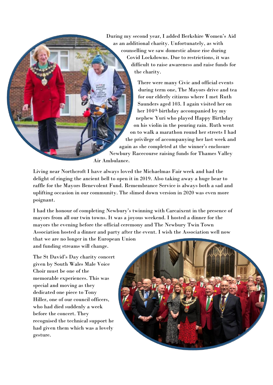During my second year, I added Berkshire Women's Aid as an additional charity. Unfortunately, as with counselling we saw domestic abuse rise during Covid Lockdowns. Due to restrictions, it was difficult to raise awareness and raise funds for the charity.

There were many Civic and official events during term one, The Mayors drive and tea for our elderly citizens where I met Ruth Saunders aged 103. I again visited her on her 104th birthday accompanied by my nephew Yuri who played Happy Birthday on his violin in the pouring rain. Ruth went on to walk a marathon round her streets I had the privilege of accompanying her last week and again as she completed at the winner's enclosure Newbury Racecourse raising funds for Thames Valley Air Ambulance.

Living near Northcroft I have always loved the Michaelmas Fair week and had the delight of ringing the ancient bell to open it in 2019. Also taking away a huge bear to raffle for the Mayors Benevolent Fund. Remembrance Service is always both a sad and uplifting occasion in our community. The slimed down version in 2020 was even more poignant.

I had the honour of completing Newbury's twinning with Carcaixent in the presence of mayors from all our twin towns. It was a joyous weekend. I hosted a dinner for the mayors the evening before the official ceremony and The Newbury Twin Town Association hosted a dinner and party after the event. I wish the Association well now that we are no longer in the European Union

and funding streams will change.

The St David's Day charity concert given by South Wales Male Voice Choir must be one of the memorable experiences. This was special and moving as they dedicated one piece to Tony Hiller, one of our council officers, who had died suddenly a week before the concert. They recognised the technical support he had given them which was a lovely gesture.

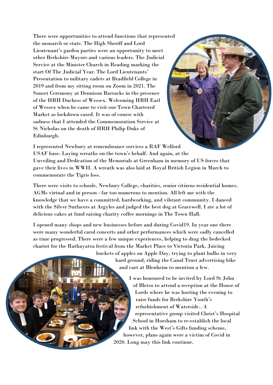There were opportunities to attend functions that represented the monarch or state. The High Sheriff and Lord Lieutenant's garden parties were an opportunity to meet other Berkshire Mayors and various leaders. The Judicial Service at the Minister Church in Reading marking the start Of The Judicial Year. The Lord Lieutenants' Presentation to military cadets at Bradfield College in 2019 and from my sitting room on Zoom in 2021. The Sunset Ceremony at Dennison Barracks in the presence of the HRH Duchess of Wessex. Welcoming HRH Earl of Wessex when he came to visit our Town Chartered Market as lockdown eased. It was of course with sadness that I attended the Commemoration Service at St Nicholas on the death of HRH Philip Duke of Edinburgh.



I represented Newbury at remembrance services a RAF Welford USAF base. Laying wreaths on the town's behalf. And again, at the Unveiling and Dedication of the Memorials at Greenham in memory of US forces that gave their lives in WWII. A wreath was also laid at Royal British Legion in March to commemorate the Tigris loss.

There were visits to schools, Newbury College, charities, senior citizens residential homes, AGMs virtual and in person - far too numerous to mention. All left me with the knowledge that we have a committed, hardworking, and vibrant community. I danced with the Silver Surfacers at Argyles and judged the best dog at Gracewell. I ate a lot of delicious cakes at fund raising charity coffee mornings in The Town Hall.

I opened many shops and new businesses before and during Covid19. In year one there were many wonderful carol concerts and other performances which were sadly cancelled as time progressed. There were a few unique experiences, helping to drag the bedecked chariot for the Rathayatra festival from the Market Place to Victoria Park. Juicing

buckets of apples on Apple Day, trying to plant bulbs in very hard ground, riding the Canal Trust advertising bike and cart at Blenheim to mention a few.

> I was honoured to be invited by Lord St John of Bletso to attend a reception at the House of Lords where he was hosting the evening to raise funds for Berkshire Youth's refurbishment of Waterside.. A representative group visited Christ's Hospital School in Horsham to re-establish the local link with the West's Gifts funding scheme, however, plans again were a victim of Covid in 2020. Long may this link continue.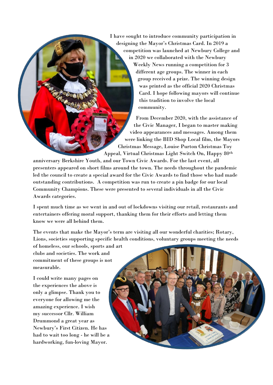I have sought to introduce community participation in designing the Mayor's Christmas Card. In 2019 a competition was launched at Newbury College and in 2020 we collaborated with the Newbury Weekly News running a competition for 3 different age groups. The winner in each group received a prize. The winning design was printed as the official 2020 Christmas Card. I hope following mayors will continue this tradition to involve the local community.

From December 2020, with the assistance of the Civic Manager, I began to master making video appearances and messages. Among them were linking the BID Shop Local film, the Mayors Christmas Message, Louise Purton Christmas Toy Appeal, Virtual Christmas Light Switch On, Happy 80th

anniversary Berkshire Youth, and our Town Civic Awards. For the last event, all presenters appeared on short films around the town. The needs throughout the pandemic led the council to create a special award for the Civic Awards to find those who had made outstanding contributions. A competition was run to create a pin badge for our local Community Champions. These were presented to several individuals in all the Civic Awards categories.

I spent much time as we went in and out of lockdowns visiting our retail, restaurants and entertainers offering moral support, thanking them for their efforts and letting them know we were all behind them.

The events that make the Mayor's term are visiting all our wonderful charities; Rotary, Lions, societies supporting specific health conditions, voluntary groups meeting the needs

of homeless, our schools, sports and art clubs and societies. The work and commitment of these groups is not measurable.

I could write many pages on the experiences the above is only a glimpse. Thank you to everyone for allowing me the amazing experience. I wish my successor Cllr. William Drummond a great year as Newbury's First Citizen. He has had to wait too long - he will be a hardworking, fun-loving Mayor.

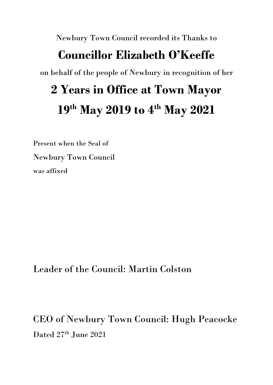Newbury Town Council recorded its Thanks to

### **Councillor Elizabeth O'Keeffe**

on behalf of the people of Newbury in recognition of her

### **2 Years in Office at Town Mayor 19th May 2019 to 4th May 2021**

Present when the Seal of Newbury Town Council was affixed

Leader of the Council: Martin Colston

CEO of Newbury Town Council: Hugh Peacocke Dated  $27<sup>th</sup>$  June  $2021$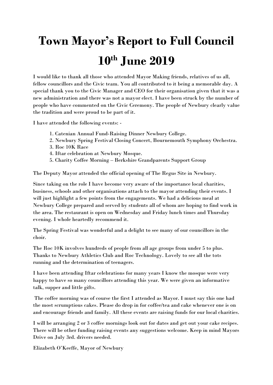## **Town Mayor's Report to Full Council 10th June 2019**

I would like to thank all those who attended Mayor Making friends, relatives of us all, fellow councillors and the Civic team. You all contributed to it being a memorable day. A special thank you to the Civic Manager and CEO for their organisation given that it was a new administration and there was not a mayor elect. I have been struck by the number of people who have commented on the Civic Ceremony. The people of Newbury clearly value the tradition and were proud to be part of it.

I have attended the following events: -

- 1. Catenian Annual Fund-Raising Dinner Newbury College.
- 2. Newbury Spring Festival Closing Concert, Bournemouth Symphony Orchestra.
- 3. Roc 10K Race
- 4. Iftar celebration at Newbury Mosque.
- 5. Charity Coffee Morning Berkshire Grandparents Support Group

The Deputy Mayor attended the official opening of The Regus Site in Newbury.

Since taking on the role I have become very aware of the importance local charities, business, schools and other organisations attach to the mayor attending their events. I will just highlight a few points from the engagements. We had a delicious meal at Newbury College prepared and served by students all of whom are hoping to find work in the area. The restaurant is open on Wednesday and Friday lunch times and Thursday evening. I whole heartedly recommend it.

The Spring Festival was wonderful and a delight to see many of our councillors in the choir.

The Roc 10K involves hundreds of people from all age groups from under 5 to plus. Thanks to Newbury Athletics Club and Roc Technology. Lovely to see all the tots running and the determination of teenagers.

I have been attending Iftar celebrations for many years I know the mosque were very happy to have so many councillors attending this year. We were given an informative talk, supper and little gifts.

The coffee morning was of course the first I attended as Mayor. I must say this one had the most scrumptious cakes. Please do drop in for coffee/tea and cake whenever one is on and encourage friends and family. All these events are raising funds for our local charities.

I will be arranging 2 or 3 coffee mornings look out for dates and get out your cake recipes. There will be other funding raising events any suggestions welcome. Keep in mind Mayors Drive on July 3rd. drivers needed.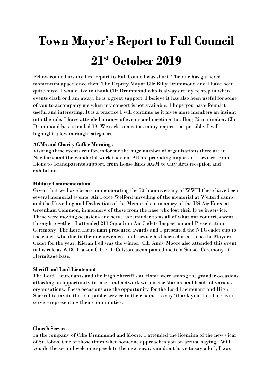### **Town Mayor's Report to Full Council 21st October 2019**

Fellow councillors my first report to Full Council was short. The role has gathered momentum apace since then. The Deputy Mayor Cllr Billy Drummond and I have been quite busy. I would like to thank Cllr Drummond who is always ready to step in when events clash or I am away, he is a great support. I believe it has also been useful for some of you to accompany me when my consort is not available. I hope you have found it useful and interesting. It is a practice I will continue as it gives more members an insight into the role. I have attended a range of events and meetings totalling 72 in number. Cllr Drummond has attended 19. We seek to meet as many requests as possible. I will highlight a few in rough categories.

#### **AGMs and Charity Coffee Mornings**

Visiting these events reinforces for me the huge number of organisations there are in Newbury and the wonderful work they do. All are providing important services. From Lions to Grandparents support, from Loose Ends AGM to City Arts reception and exhibition.

#### **Military Commemoration**

Given that we have been commemorating the 70th anniversary of WWII there have been several memorial events. Air Force Welford unveiling of the memorial at Welford camp and the Unveiling and Dedication of the Memorials in memory of the US Air Force at Greenham Common, in memory of those from the base who lost their lives in service. These were moving occasions and serve as reminder to us all of what our countries went through together. I attended 211 Squadron Air Cadets Inspection and Presentation Ceremony. The Lord Lieutenant presented awards and I presented the NTC cadet cup to the cadet, who due to their achievement and service had been chosen to be the Mayors Cadet for the year. Kieran Fell was the winner. Cllr Andy Moore also attended this event in his role as WBC Liaison Cllr. Cllr Colston accompanied me to a Sunset Ceremony at Hermitage base.

#### **Sheriff and Lord Lieutenant**

The Lord Lieutenants and the High Sherriff's at Home were among the grander occasions affording an opportunity to meet and network with other Mayors and heads of various organisations. These occasions are the opportunity for the Lord Lieutenant and High Sherriff to invite those in public service to their homes to say 'thank you' to all in Civic service representing their communities.

#### **Church Services**

In the company of Cllrs Drummond and Moore, I attended the licencing of the new vicar of St Johns. One of those times when someone approaches you on arrival saying, 'Will you do the second welcome speech to the new vicar, you don't have to say a lot'; I was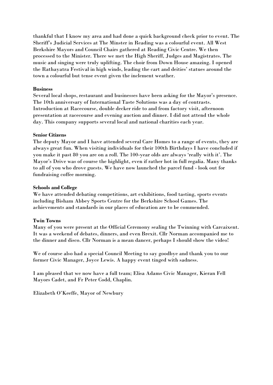thankful that I know my area and had done a quick background check prior to event. The Sheriff's Judicial Services at The Minster in Reading was a colourful event. All West Berkshire Mayors and Council Chairs gathered at Reading Civic Centre. We then processed to the Minister. There we met the High Sheriff, Judges and Magistrates. The music and singing were truly uplifting. The choir from Down House amazing. I opened the Rathayatra Festival in high winds, leading the cart and deities' statues around the town a colourful but tense event given the inclement weather.

#### **Business**

Several local shops, restaurant and businesses have been asking for the Mayor's presence. The 10th anniversary of International Taste Solutions was a day of contrasts. Introduction at Racecourse, double decker ride to and from factory visit, afternoon presentation at racecourse and evening auction and dinner. I did not attend the whole day. This company supports several local and national charities each year.

#### **Senior Citizens**

The deputy Mayor and I have attended several Care Homes to a range of events, they are always great fun. When visiting individuals for their 100th Birthdays I have concluded if you make it past 80 you are on a roll. The 100-year olds are always 'really with it'. The Mayor's Drive was of course the highlight, even if rather hot in full regalia. Many thanks to all of you who drove guests. We have now launched the parcel fund - look out for fundraising coffee morning.

#### **Schools and College**

We have attended debating competitions, art exhibitions, food tasting, sports events including Bisham Abbey Sports Centre for the Berkshire School Games. The achievements and standards in our places of education are to be commended.

#### **Twin Towns**

Many of you were present at the Official Ceremony sealing the Twinning with Carcaixent. It was a weekend of debates, dinners, and even Brexit. Cllr Norman accompanied me to the dinner and disco. Cllr Norman is a mean dancer, perhaps I should show the video!

We of course also had a special Council Meeting to say goodbye and thank you to our former Civic Manager, Joyce Lewis. A happy event tinged with sadness.

I am pleased that we now have a full team; Elisa Adams Civic Manager, Kieran Fell Mayors Cadet, and Fr Peter Codd, Chaplin.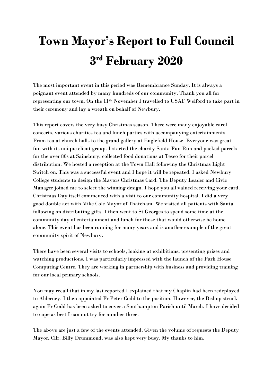## **Town Mayor's Report to Full Council 3 rd February 2020**

The most important event in this period was Remembrance Sunday. It is always a poignant event attended by many hundreds of our community. Thank you all for representing our town. On the 11th November I travelled to USAF Welford to take part in their ceremony and lay a wreath on behalf of Newbury.

This report covers the very busy Christmas season. There were many enjoyable carol concerts, various charities tea and lunch parties with accompanying entertainments. From tea at church halls to the grand gallery at Englefield House. Everyone was great fun with its unique client group. I started the charity Santa Fun Run and packed parcels for the over 80s at Sainsbury, collected food donations at Tesco for their parcel distribution. We hosted a reception at the Town Hall following the Christmas Light Switch on. This was a successful event and I hope it will be repeated. I asked Newbury College students to design the Mayors Christmas Card. The Deputy Leader and Civic Manager joined me to select the winning design. I hope you all valued receiving your card. Christmas Day itself commenced with a visit to our community hospital. I did a very good double act with Mike Cole Mayor of Thatcham. We visited all patients with Santa following on distributing gifts. I then went to St Georges to spend some time at the community day of entertainment and lunch for those that would otherwise be home alone. This event has been running for many years and is another example of the great community spirit of Newbury.

There have been several visits to schools, looking at exhibitions, presenting prizes and watching productions. I was particularly impressed with the launch of the Park House Computing Centre. They are working in partnership with business and providing training for our local primary schools.

You may recall that in my last reported I explained that my Chaplin had been redeployed to Alderney. I then appointed Fr Peter Codd to the position. However, the Bishop struck again Fr Codd has been asked to cover a Southampton Parish until March. I have decided to cope as best I can not try for number three.

The above are just a few of the events attended. Given the volume of requests the Deputy Mayor, Cllr. Billy Drummond, was also kept very busy. My thanks to him.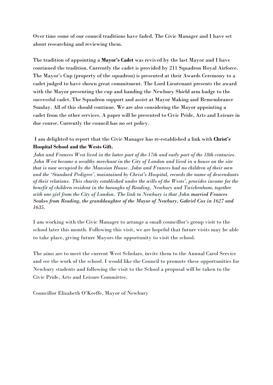Over time some of our council traditions have faded. The Civic Manager and I have set about researching and reviewing them.

The tradition of appointing a **Mayor's Cadet** was revived by the last Mayor and I have continued the tradition. Currently the cadet is provided by 211 Squadron Royal Airforce. The Mayor's Cup (property of the squadron) is presented at their Awards Ceremony to a cadet judged to have shown great commitment. The Lord Lieutenant presents the award with the Mayor presenting the cup and handing the Newbury Shield arm badge to the successful cadet. The Squadron support and assist at Mayor Making and Remembrance Sunday. All of this should continue. We are also considering the Mayor appointing a cadet from the other services. A paper will be presented to Civic Pride, Arts and Leisure in due course. Currently the council has no set policy.

I am delighted to report that the Civic Manager has re-established a link with **Christ's Hospital School and the Wests Gift.**

*John and Frances West lived in the latter part of the 17th and early part of the 18th centuries. John West became a wealthy merchant in the City of London and lived in a house on the site that is now occupied by the Mansion House. John and Frances had no children of their own and the 'Standard Pedigree', maintained by Christ's Hospital, records the name of descendants of their relations. This charity established under the wills of the Wests', provides income for the benefit of children resident in the boroughs of Reading, Newbury and Twickenham, together with one girl from the City of London. The link to Newbury is that John married Frances Seakes from Reading, the granddaughter of the Mayor of Newbury, Gabriel Cox in 1627 and 1635.*

I am working with the Civic Manager to arrange a small councillor's group visit to the school later this month. Following this visit, we are hopeful that future visits may be able to take place, giving future Mayors the opportunity to visit the school.

The aims are to meet the current West Scholars, invite them to the Annual Carol Service and see the work of the school. I would like the Council to promote these opportunities for Newbury students and following the visit to the School a proposal will be taken to the Civic Pride, Arts and Leisure Committee.

Councillor Elizabeth O'Keeffe, Mayor of Newbury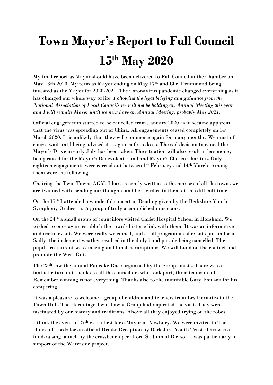## **Town Mayor's Report to Full Council 15th May 2020**

My final report as Mayor should have been delivered to Full Council in the Chamber on May 13th 2020. My term as Mayor ending on May 17th and Cllr. Drummond being invested as the Mayor for 2020-2021. The Coronavirus pandemic changed everything as it has changed our whole way of life. *Following the legal briefing and guidance from the National Association of Local Councils we will not be holding an Annual Meeting this year and I will remain Mayor until we next have an Annual Meeting, probably May 2021.*

Official engagements started to be cancelled from January 2020 as it became apparent that the virus was spreading out of China. All engagements ceased completely on 14th March 2020. It is unlikely that they will commence again for many months. We must of course wait until being advised it is again safe to do so. The sad decision to cancel the Mayor's Drive in early July has been taken. The situation will also result in less money being raised for the Mayor's Benevolent Fund and Mayor's Chosen Charities. Only eighteen engagements were carried out between 1st February and 14th March. Among them were the following:

Chairing the Twin Towns AGM. I have recently written to the mayors of all the towns we are twinned with, sending our thoughts and best wishes to them at this difficult time.

On the 17th I attended a wonderful concert in Reading given by the Berkshire Youth Symphony Orchestra. A group of truly accomplished musicians.

On the 24th a small group of councillors visited Christ Hospital School in Horsham. We wished to once again establish the town's historic link with them. It was an informative and useful event. We were really welcomed, and a full programme of events put on for us. Sadly, the inclement weather resulted in the daily band parade being cancelled. The pupil's restaurant was amazing and lunch scrumptious. We will build on the contact and promote the West Gift.

The 25th saw the annual Pancake Race organised by the Soroptimists. There was a fantastic turn out thanks to all the councillors who took part, three teams in all. Remember winning is not everything. Thanks also to the inimitable Gary Poulson for his compering.

It was a pleasure to welcome a group of children and teachers from Les Hermites to the Town Hall. The Hermitage Twin Towns Group had requested the visit. They were fascinated by our history and traditions. Above all they enjoyed trying on the robes.

I think the event of 27th was a first for a Mayor of Newbury. We were invited to The House of Lords for an official Drinks Reception by Berkshire Youth Trust. This was a fund-raising launch by the crossbench peer Lord St John of Bletso. It was particularly in support of the Waterside project.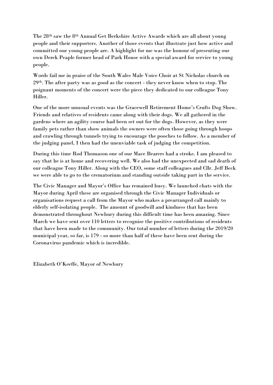The 28th saw the 8th Annual Get Berkshire Active Awards which are all about young people and their supporters. Another of those events that illustrate just how active and committed our young people are. A highlight for me was the honour of presenting our own Derek Peaple former head of Park House with a special award for service to young people.

Words fail me in praise of the South Wales Male Voice Choir at St Nicholas church on 29th. The after party was as good as the concert - they never know when to stop. The poignant moments of the concert were the piece they dedicated to our colleague Tony Hiller.

One of the more unusual events was the Gracewell Retirement Home's Crufts Dog Show. Friends and relatives of residents came along with their dogs. We all gathered in the gardens where an agility course had been set out for the dogs. However, as they were family pets rather than show animals the owners were often those going through hoops and crawling through tunnels trying to encourage the pooches to follow. As a member of the judging panel, I then had the unenviable task of judging the competition.

During this time Rod Thomason one of our Mace Bearers had a stroke. I am pleased to say that he is at home and recovering well. We also had the unexpected and sad death of our colleague Tony Hiller. Along with the CEO, some staff colleagues and Cllr. Jeff Beck we were able to go to the crematorium and standing outside taking part in the service.

The Civic Manager and Mayor's Office has remained busy. We launched chats with the Mayor during April these are organised through the Civic Manager Individuals or organisations request a call from the Mayor who makes a prearranged call mainly to elderly self-isolating people. The amount of goodwill and kindness that has been demonstrated throughout Newbury during this difficult time has been amazing. Since March we have sent over 110 letters to recognise the positive contributions of residents that have been made to the community. Our total number of letters during the 2019/20 municipal year, so far, is 179 - so more than half of these have been sent during the Coronavirus pandemic which is incredible.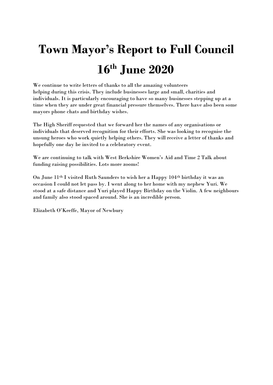## **Town Mayor's Report to Full Council 16th June 2020**

We continue to write letters of thanks to all the amazing volunteers helping during this crisis. They include businesses large and small, charities and individuals. It is particularly encouraging to have so many businesses stepping up at a time when they are under great financial pressure themselves. There have also been some mayors phone chats and birthday wishes.

The High Sheriff requested that we forward her the names of any organisations or individuals that deserved recognition for their efforts. She was looking to recognise the unsung heroes who work quietly helping others. They will receive a letter of thanks and hopefully one day be invited to a celebratory event.

We are continuing to talk with West Berkshire Women's Aid and Time 2 Talk about funding raising possibilities. Lots more zooms!

On June 11th I visited Ruth Saunders to wish her a Happy 104th birthday it was an occasion I could not let pass by. I went along to her home with my nephew Yuri. We stood at a safe distance and Yuri played Happy Birthday on the Violin. A few neighbours and family also stood spaced around. She is an incredible person.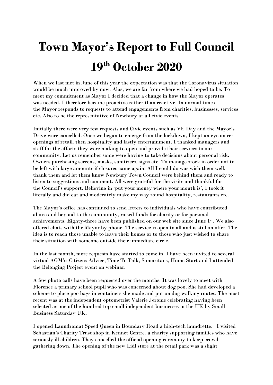## **Town Mayor's Report to Full Council 19th October 2020**

When we last met in June of this year the expectation was that the Coronavirus situation would be much improved by now. Alas, we are far from where we had hoped to be. To meet my commitment as Mayor I decided that a change in how the Mayor operates was needed. I therefore became proactive rather than reactive. In normal times the Mayor responds to requests to attend engagements from charities, businesses, services etc. Also to be the representative of Newbury at all civic events.

Initially there were very few requests and Civic events such as VE Day and the Mayor's Drive were cancelled. Once we began to emerge from the lockdown, I kept an eye on reopenings of retail, then hospitality and lastly entertainment. I thanked managers and staff for the efforts they were making to open and provide their services to our community. Let us remember some were having to take decisions about personal risk. Owners purchasing screens, masks, sanitizers, signs etc. To manage stock in order not to be left with large amounts if closures came again. All I could do was wish them well, thank them and let them know Newbury Town Council were behind them and ready to listen to suggestions and comment. All were grateful for the visits and thankful for the Council's support. Believing in 'put your money where your mouth is', I took it literally and did eat and moderately make my way round hospitality, restaurants etc.

The Mayor's office has continued to send letters to individuals who have contributed above and beyond to the community, raised funds for charity or for personal achievements. Eighty-three have been published on our web site since June 1st. We also offered chats with the Mayor by phone. The service is open to all and is still on offer. The idea is to reach those unable to leave their homes or to those who just wished to share their situation with someone outside their immediate circle.

In the last month, more requests have started to come in. I have been invited to several virtual AGM's: Citizens Advice, Time To Talk, Samaritans, Home Start and I attended the Belonging Project event on webinar.

A few photo calls have been requested over the months. It was lovely to meet with Florence a primary school pupil who was concerned about dog poo. She had developed a scheme to place poo bags in containers she made and put on dog walking routes. The most recent was at the independent optometrist Valerie Jerome celebrating having been selected as one of the hundred top small independent businesses in the UK by Small Business Saturday UK.

I opened Laundromat Speed Queen in Boundary Road a high-tech laundrette. I visited Sebastian's Charity Trust shop in Kennet Centre, a charity supporting families who have seriously ill children. They cancelled the official opening ceremony to keep crowd gathering down. The opening of the new Lidl store at the retail park was a slight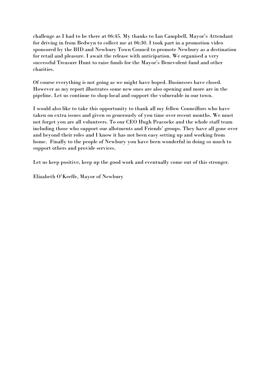challenge as I had to be there at 06:45. My thanks to Ian Campbell, Mayor's Attendant for driving in from Bedwyn to collect me at 06:30. I took part in a promotion video sponsored by the BID and Newbury Town Council to promote Newbury as a destination for retail and pleasure. I await the release with anticipation. We organised a very successful Treasure Hunt to raise funds for the Mayor's Benevolent fund and other charities.

Of course everything is not going as we might have hoped. Businesses have closed. However as my report illustrates some new ones are also opening and more are in the pipeline. Let us continue to shop local and support the vulnerable in our town.

I would also like to take this opportunity to thank all my fellow Councillors who have taken on extra issues and given so generously of you time over recent months. We must not forget you are all volunteers. To our CEO Hugh Peacocke and the whole staff team including those who support our allotments and Friends' groups. They have all gone over and beyond their roles and I know it has not been easy setting up and working from home. Finally to the people of Newbury you have been wonderful in doing so much to support others and provide services.

Let us keep positive, keep up the good work and eventually come out of this stronger.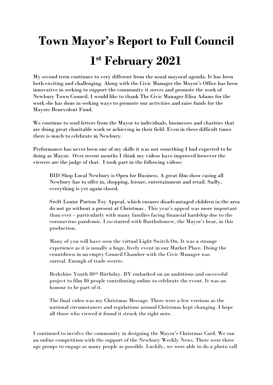## **Town Mayor's Report to Full Council 1 st February 2021**

My second term continues to very different from the usual mayoral agenda. It has been both exciting and challenging. Along with the Civic Manager the Mayor's Office has been innovative in seeking to support the community it serves and promote the work of Newbury Town Council. I would like to thank The Civic Manager Elisa Adams for the work she has done in seeking ways to promote our activities and raise funds for the Mayors Benevolent Fund.

We continue to send letters from the Mayor to individuals, businesses and charities that are doing great charitable work or achieving in their field. Even in these difficult times there is much to celebrate in Newbury.

Performance has never been one of my skills it was not something I had expected to be doing as Mayor. Over recent months I think my videos have improved however the viewers are the judge of that. I took part in the following videos:

BID Shop Local Newbury is Open for Business. A great film show casing all Newbury has to offer in, shopping, leisure, entertainment and retail. Sadly, everything is yet again closed.

Swift Louise Purton Toy Appeal, which ensures disadvantaged children in the area do not go without a present at Christmas . This year's appeal was more important than ever – particularly with many families facing financial hardship due to the coronavirus pandemic. I co-starred with Bartholomew, the Mayor's bear, in this production.

Many of you will have seen the virtual Light Switch On. It was a strange experience as it is usually a huge, lively event in our Market Place. Doing the countdown in an empty Council Chamber with the Civic Manager was surreal. Enough of trade secrets.

Berkshire Youth 80th Birthday. BY embarked on an ambitious and successful project to film 80 people contributing online to celebrate the event. It was an honour to be part of it.

The final video was my Christmas Message. There were a few versions as the national circumstances and regulations around Christmas kept changing. I hope all those who viewed it found it struck the right note.

I continued to involve the community in designing the Mayor's Christmas Card. We ran an online competition with the support of the Newbury Weekly News. There were three age groups to engage as many people as possible. Luckily, we were able to do a photo call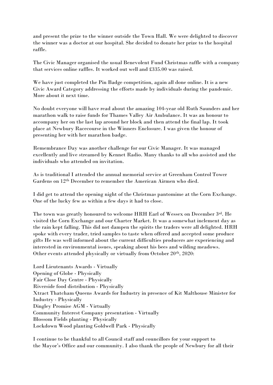and present the prize to the winner outside the Town Hall. We were delighted to discover the winner was a doctor at our hospital. She decided to donate her prize to the hospital raffle.

The Civic Manager organised the usual Benevolent Fund Christmas raffle with a company that services online raffles. It worked out well and £335.00 was raised.

We have just completed the Pin Badge competition, again all done online. It is a new Civic Award Category addressing the efforts made by individuals during the pandemic. More about it next time.

No doubt everyone will have read about the amazing 104-year old Ruth Saunders and her marathon walk to raise funds for Thames Valley Air Ambulance. It was an honour to accompany her on the last lap around her block and then attend the final lap. It took place at Newbury Racecourse in the Winners Enclosure. I was given the honour of presenting her with her marathon badge.

Remembrance Day was another challenge for our Civic Manager. It was managed excellently and live streamed by Kennet Radio. Many thanks to all who assisted and the individuals who attended on invitation.

As is traditional I attended the annual memorial service at Greenham Control Tower Gardens on 12th December to remember the American Airmen who died.

I did get to attend the opening night of the Christmas pantomime at the Corn Exchange. One of the lucky few as within a few days it had to close.

The town was greatly honoured to welcome HRH Earl of Wessex on December 3rd. He visited the Corn Exchange and our Charter Market. It was a somewhat inclement day as the rain kept falling. This did not dampen the spirits the traders were all delighted. HRH spoke with every trader, tried samples to taste when offered and accepted some produce gifts He was well informed about the current difficulties producers are experiencing and interested in environmental issues, speaking about his bees and wilding meadows. Other events attended physically or virtually from October 20th, 2020:

Lord Lieutenants Awards - Virtually Opening of Globe - Physically Fair Close Day Centre - Physically Riverside food distribution - Physically Xtract Thatcham Queens Awards for Industry in presence of Kit Malthouse Minister for Industry - Physically Dingley Promise AGM - Virtually Community Interest Company presentation - Virtually Blossom Fields planting - Physically Lockdown Wood planting Goldwell Park - Physically

I continue to be thankful to all Council staff and councillors for your support to the Mayor's Office and our community. I also thank the people of Newbury for all their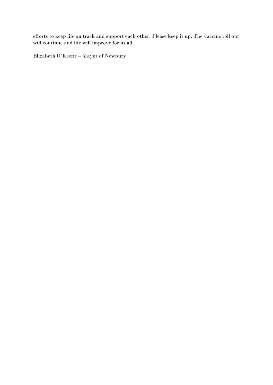efforts to keep life on track and support each other. Please keep it up. The vaccine roll out will continue and life will improve for us all.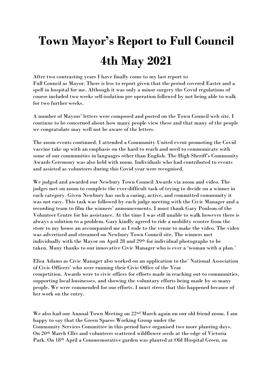## **Town Mayor's Report to Full Council 4th May 2021**

After two contrasting years I have finally come to my last report to Full Council as Mayor. There is less to report given that the period covered Easter and a spell in hospital for me. Although it was only a minor surgery the Covid regulations of course included two weeks self-isolation pre operation followed by not being able to walk for two further weeks.

A number of Mayors' letters were composed and posted on the Town Council web site. I continue to be concerned about how many people view these and that many of the people we congratulate may well not be aware of the letters.

The zoom events continued. I attended a Community United event promoting the Covid vaccine take up with an emphasis on the hard to reach and need to communicate with some of our communities in languages other than English. The High Sheriff's Community Awards Ceremony was also held with zoom. Individuals who had contributed to events and assisted as volunteers during this Covid year were recognised.

We judged and awarded our Newbury Town Council Awards via zoom and video. The judges met on zoom to complete the ever-difficult task of trying to decide on a winner in each category. Given Newbury has such a caring, active, and committed community it was not easy. This task was followed by each judge meeting with the Civic Manager and a recording team to film the winners' announcements. I must thank Gary Poulson of the Volunteer Centre for his assistance. At the time I was still unable to walk however there is always a solution to a problem. Gary kindly agreed to ride a mobility scooter from the store to my house an accompanied me as I rode to the venue to make the video. The video was advertised and streamed on Newbury Town Council site. The winners met individually with the Mayor on April 28 and 29th for individual photographs to be taken. Many thanks to our innovative Civic Manager who is ever a 'woman with a plan.'

Elisa Adams as Civic Manager also worked on an application to the' National Association of Civic Officers' who were running their Civic Office of the Year competition. Awards were to civic offices for efforts made in reaching out to communities, supporting local businesses, and showing the voluntary efforts being made by so many people. We were commended for our efforts. I must stress that this happened because of her work on the entry.

We also had our Annual Town Meeting on 22nd March again on our old friend zoom. I am happy to say that the Green Spaces Working Group under the Community Services Committee in this period have organised two more planting days. On 20th March Cllrs and volunteers scattered wildflower seeds at the edge of Victoria Park. On 18th April a Commemorative garden was planted at Old Hospital Green, on